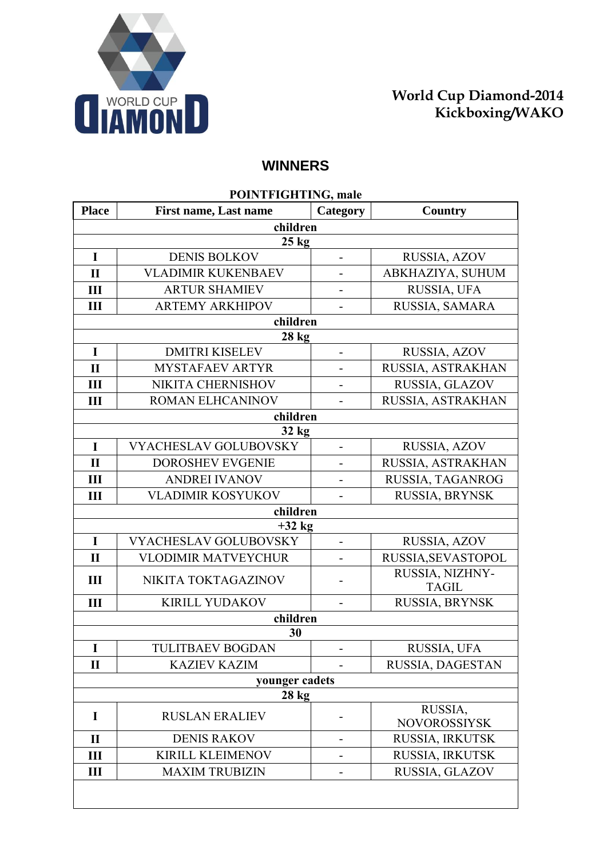

## **WINNERS**

| POINTFIGHTING, male |                              |                          |                                 |
|---------------------|------------------------------|--------------------------|---------------------------------|
| <b>Place</b>        | <b>First name, Last name</b> | Category                 | Country                         |
|                     | children                     |                          |                                 |
|                     | $25 \text{ kg}$              |                          |                                 |
| $\mathbf I$         | <b>DENIS BOLKOV</b>          |                          | RUSSIA, AZOV                    |
| $\mathbf{I}$        | <b>VLADIMIR KUKENBAEV</b>    |                          | ABKHAZIYA, SUHUM                |
| Ш                   | <b>ARTUR SHAMIEV</b>         |                          | RUSSIA, UFA                     |
| III                 | <b>ARTEMY ARKHIPOV</b>       |                          | RUSSIA, SAMARA                  |
|                     | children                     |                          |                                 |
|                     | $28 \text{ kg}$              |                          |                                 |
| $\mathbf I$         | <b>DMITRI KISELEV</b>        |                          | RUSSIA, AZOV                    |
| $\mathbf{I}$        | MYSTAFAEV ARTYR              |                          | RUSSIA, ASTRAKHAN               |
| III                 | NIKITA CHERNISHOV            |                          | RUSSIA, GLAZOV                  |
| Ш                   | ROMAN ELHCANINOV             |                          | RUSSIA, ASTRAKHAN               |
|                     | children                     |                          |                                 |
|                     | $32 \text{ kg}$              |                          |                                 |
| $\mathbf I$         | <b>VYACHESLAV GOLUBOVSKY</b> | $\overline{a}$           | RUSSIA, AZOV                    |
| $\mathbf{I}$        | <b>DOROSHEV EVGENIE</b>      |                          | RUSSIA, ASTRAKHAN               |
| Ш                   | <b>ANDREI IVANOV</b>         |                          | RUSSIA, TAGANROG                |
| Ш                   | <b>VLADIMIR KOSYUKOV</b>     |                          | RUSSIA, BRYNSK                  |
|                     | children                     |                          |                                 |
|                     | $+32$ kg                     |                          |                                 |
| $\mathbf I$         | <b>VYACHESLAV GOLUBOVSKY</b> | $\overline{\phantom{0}}$ | RUSSIA, AZOV                    |
| $\mathbf{I}$        | <b>VLODIMIR MATVEYCHUR</b>   |                          | RUSSIA, SEVASTOPOL              |
| III                 | NIKITA TOKTAGAZINOV          |                          | RUSSIA, NIZHNY-<br><b>TAGIL</b> |
| III                 | <b>KIRILL YUDAKOV</b>        |                          | RUSSIA, BRYNSK                  |
|                     | children                     |                          |                                 |
| 30                  |                              |                          |                                 |
| I                   | <b>TULITBAEV BOGDAN</b>      |                          | RUSSIA, UFA                     |
| $\mathbf{I}$        | <b>KAZIEV KAZIM</b>          |                          | RUSSIA, DAGESTAN                |
| younger cadets      |                              |                          |                                 |
| $28$ kg             |                              |                          |                                 |
| I                   | <b>RUSLAN ERALIEV</b>        |                          | RUSSIA,<br><b>NOVOROSSIYSK</b>  |
| $\mathbf{I}$        | <b>DENIS RAKOV</b>           |                          | RUSSIA, IRKUTSK                 |
| Ш                   | <b>KIRILL KLEIMENOV</b>      |                          | RUSSIA, IRKUTSK                 |
| $\mathbf{I}$        | <b>MAXIM TRUBIZIN</b>        |                          | RUSSIA, GLAZOV                  |
|                     |                              |                          |                                 |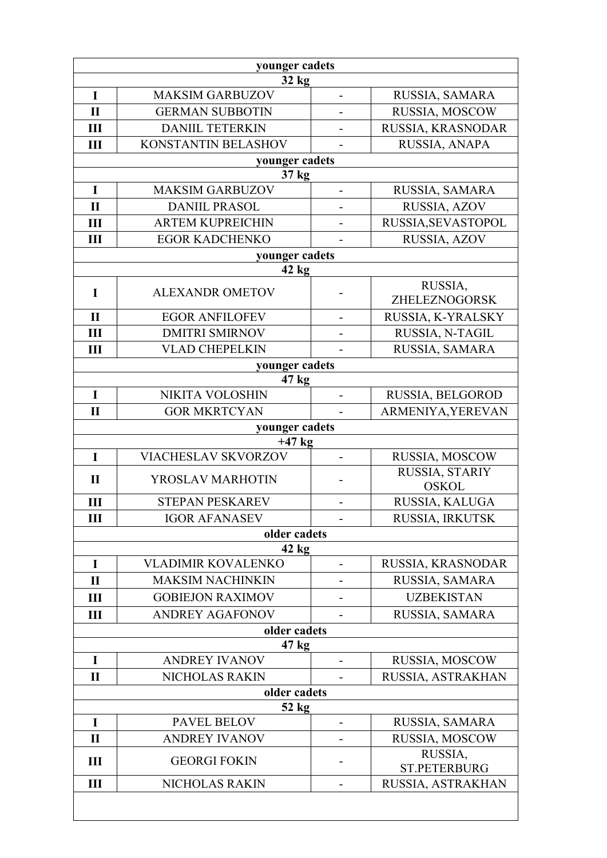| younger cadets        |                           |                          |                                  |
|-----------------------|---------------------------|--------------------------|----------------------------------|
| 32 kg                 |                           |                          |                                  |
| $\mathbf I$           | <b>MAKSIM GARBUZOV</b>    | $\blacksquare$           | RUSSIA, SAMARA                   |
| $\mathbf{I}$          | <b>GERMAN SUBBOTIN</b>    |                          | RUSSIA, MOSCOW                   |
| III                   | <b>DANIIL TETERKIN</b>    |                          | RUSSIA, KRASNODAR                |
| III                   | KONSTANTIN BELASHOV       | $\overline{\phantom{a}}$ | RUSSIA, ANAPA                    |
|                       | younger cadets            |                          |                                  |
|                       | 37 kg                     |                          |                                  |
| $\mathbf I$           | <b>MAKSIM GARBUZOV</b>    |                          | RUSSIA, SAMARA                   |
| $\mathbf{I}$          | <b>DANIIL PRASOL</b>      | $\overline{\phantom{0}}$ | RUSSIA, AZOV                     |
| III                   | <b>ARTEM KUPREICHIN</b>   |                          | RUSSIA, SEVASTOPOL               |
| III                   | <b>EGOR KADCHENKO</b>     |                          | RUSSIA, AZOV                     |
|                       | younger cadets            |                          |                                  |
|                       | $42$ kg                   |                          |                                  |
| I                     | <b>ALEXANDR OMETOV</b>    | -                        | RUSSIA,<br>ZHELEZNOGORSK         |
| $\mathbf{I}$          | <b>EGOR ANFILOFEV</b>     | $\overline{\phantom{a}}$ | RUSSIA, K-YRALSKY                |
| III                   | <b>DMITRI SMIRNOV</b>     |                          | RUSSIA, N-TAGIL                  |
| III                   | <b>VLAD CHEPELKIN</b>     |                          | RUSSIA, SAMARA                   |
|                       | younger cadets            |                          |                                  |
|                       | 47 <sub>kg</sub>          |                          |                                  |
| I                     | NIKITA VOLOSHIN           | $\overline{\phantom{0}}$ | RUSSIA, BELGOROD                 |
| $\mathbf{I}$          | <b>GOR MKRTCYAN</b>       |                          | ARMENIYA, YEREVAN                |
|                       | younger cadets            |                          |                                  |
|                       | $+47$ kg                  |                          |                                  |
| $\mathbf I$           | VIACHESLAV SKVORZOV       |                          | RUSSIA, MOSCOW<br>RUSSIA, STARIY |
| $\mathbf{I}$          | YROSLAV MARHOTIN          |                          | <b>OSKOL</b>                     |
| III                   | <b>STEPAN PESKAREV</b>    | $\overline{a}$           | RUSSIA, KALUGA                   |
| Ш                     | <b>IGOR AFANASEV</b>      |                          | RUSSIA, IRKUTSK                  |
|                       | older cadets              |                          |                                  |
|                       | 42 kg                     |                          |                                  |
| $\bf{I}$              | <b>VLADIMIR KOVALENKO</b> |                          | RUSSIA, KRASNODAR                |
| $\mathbf{I}$          | <b>MAKSIM NACHINKIN</b>   |                          | RUSSIA, SAMARA                   |
| Ш                     | <b>GOBIEJON RAXIMOV</b>   |                          | <b>UZBEKISTAN</b>                |
| Ш                     | <b>ANDREY AGAFONOV</b>    |                          | RUSSIA, SAMARA                   |
| older cadets<br>47 kg |                           |                          |                                  |
| I                     | <b>ANDREY IVANOV</b>      |                          | RUSSIA, MOSCOW                   |
| $\mathbf{I}$          | NICHOLAS RAKIN            |                          | RUSSIA, ASTRAKHAN                |
| older cadets          |                           |                          |                                  |
| $52$ kg               |                           |                          |                                  |
| I                     | PAVEL BELOV               |                          | RUSSIA, SAMARA                   |
| $\mathbf{I}$          | <b>ANDREY IVANOV</b>      | $\overline{\phantom{0}}$ | RUSSIA, MOSCOW                   |
| III                   | <b>GEORGI FOKIN</b>       | -                        | RUSSIA,<br><b>ST.PETERBURG</b>   |
| $\mathbf{I}$          | NICHOLAS RAKIN            |                          | RUSSIA, ASTRAKHAN                |
|                       |                           |                          |                                  |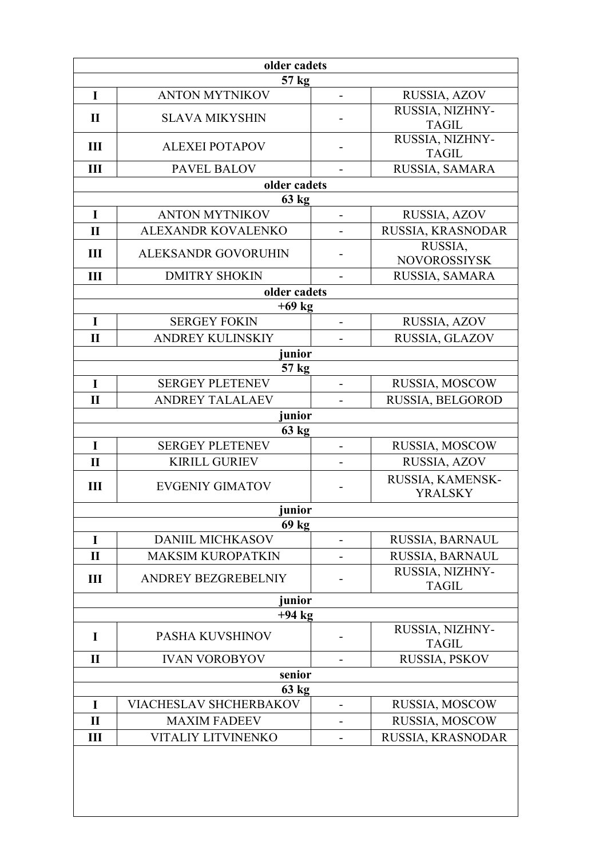| older cadets |                                 |                          |                                    |
|--------------|---------------------------------|--------------------------|------------------------------------|
| 57 kg        |                                 |                          |                                    |
| I            | <b>ANTON MYTNIKOV</b>           | $\overline{\phantom{a}}$ | RUSSIA, AZOV                       |
| $\mathbf{I}$ | <b>SLAVA MIKYSHIN</b>           |                          | RUSSIA, NIZHNY-<br><b>TAGIL</b>    |
| III          | <b>ALEXEI POTAPOV</b>           | -                        | RUSSIA, NIZHNY-<br><b>TAGIL</b>    |
| III          | <b>PAVEL BALOV</b>              |                          | RUSSIA, SAMARA                     |
|              | older cadets                    |                          |                                    |
|              | 63 kg                           |                          |                                    |
| $\mathbf I$  | <b>ANTON MYTNIKOV</b>           |                          | RUSSIA, AZOV                       |
| $\mathbf{I}$ | ALEXANDR KOVALENKO              | $\blacksquare$           | RUSSIA, KRASNODAR                  |
| $\mathbf{I}$ | <b>ALEKSANDR GOVORUHIN</b>      |                          | RUSSIA,<br><b>NOVOROSSIYSK</b>     |
| III          | <b>DMITRY SHOKIN</b>            |                          | RUSSIA, SAMARA                     |
|              | older cadets                    |                          |                                    |
|              | $+69$ kg                        |                          |                                    |
| $\mathbf I$  | <b>SERGEY FOKIN</b>             | $\overline{\phantom{0}}$ | RUSSIA, AZOV                       |
| $\mathbf{I}$ | <b>ANDREY KULINSKIY</b>         |                          | RUSSIA, GLAZOV                     |
|              | junior<br>57 kg                 |                          |                                    |
| $\mathbf I$  | <b>SERGEY PLETENEV</b>          |                          | RUSSIA, MOSCOW                     |
| $\mathbf{I}$ | <b>ANDREY TALALAEV</b>          |                          | RUSSIA, BELGOROD                   |
|              | junior                          |                          |                                    |
|              | 63 kg                           |                          |                                    |
| I            | <b>SERGEY PLETENEV</b>          |                          | RUSSIA, MOSCOW                     |
| $\mathbf{I}$ | <b>KIRILL GURIEV</b>            | $\overline{\phantom{0}}$ | RUSSIA, AZOV                       |
| Ш            | <b>EVGENIY GIMATOV</b>          |                          | RUSSIA, KAMENSK-<br><b>YRALSKY</b> |
|              | junior                          |                          |                                    |
|              | 69 <sub>kg</sub>                |                          |                                    |
| $\mathbf I$  | <b>DANIIL MICHKASOV</b>         |                          | RUSSIA, BARNAUL                    |
| $\mathbf{I}$ | <b>MAKSIM KUROPATKIN</b>        |                          | RUSSIA, BARNAUL                    |
| $\mathbf{I}$ | <b>ANDREY BEZGREBELNIY</b>      |                          | RUSSIA, NIZHNY-<br><b>TAGIL</b>    |
|              | junior                          |                          |                                    |
|              | $+94$ kg                        |                          |                                    |
| I            | PASHA KUVSHINOV                 |                          | RUSSIA, NIZHNY-<br><b>TAGIL</b>    |
| $\mathbf{I}$ | <b>IVAN VOROBYOV</b>            |                          | RUSSIA, PSKOV                      |
|              | senior                          |                          |                                    |
| $\mathbf I$  | 63 kg<br>VIACHESLAV SHCHERBAKOV | $\overline{a}$           |                                    |
| $\mathbf{I}$ | <b>MAXIM FADEEV</b>             |                          | RUSSIA, MOSCOW<br>RUSSIA, MOSCOW   |
| Ш            | <b>VITALIY LITVINENKO</b>       |                          | RUSSIA, KRASNODAR                  |
|              |                                 |                          |                                    |
|              |                                 |                          |                                    |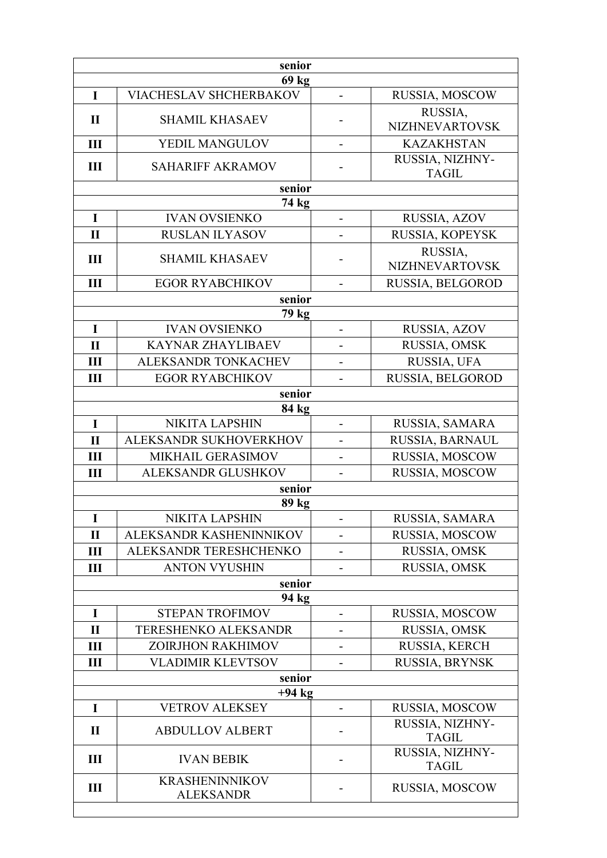| senior         |                                           |                          |                                  |
|----------------|-------------------------------------------|--------------------------|----------------------------------|
| I              | 69 kg<br><b>VIACHESLAV SHCHERBAKOV</b>    | $\overline{a}$           | RUSSIA, MOSCOW                   |
|                |                                           |                          | RUSSIA,                          |
| $\mathbf{I}$   | <b>SHAMIL KHASAEV</b>                     |                          | <b>NIZHNEVARTOVSK</b>            |
| III            | YEDIL MANGULOV                            | $\overline{\phantom{0}}$ | <b>KAZAKHSTAN</b>                |
| $\mathbf{III}$ | <b>SAHARIFF AKRAMOV</b>                   |                          | RUSSIA, NIZHNY-<br><b>TAGIL</b>  |
|                | senior                                    |                          |                                  |
|                | 74 kg                                     |                          |                                  |
| $\mathbf I$    | <b>IVAN OVSIENKO</b>                      | $\overline{a}$           | RUSSIA, AZOV                     |
| $\mathbf{I}$   | <b>RUSLAN ILYASOV</b>                     |                          | RUSSIA, KOPEYSK                  |
| $\mathbf{III}$ | <b>SHAMIL KHASAEV</b>                     |                          | RUSSIA,<br><b>NIZHNEVARTOVSK</b> |
| III            | <b>EGOR RYABCHIKOV</b>                    |                          | RUSSIA, BELGOROD                 |
|                | senior                                    |                          |                                  |
|                | 79 kg                                     |                          |                                  |
| I              | <b>IVAN OVSIENKO</b>                      | $\overline{\phantom{0}}$ | RUSSIA, AZOV                     |
| $\mathbf{I}$   | <b>KAYNAR ZHAYLIBAEV</b>                  |                          | RUSSIA, OMSK                     |
| III            | ALEKSANDR TONKACHEV                       |                          | RUSSIA, UFA                      |
| III            | <b>EGOR RYABCHIKOV</b>                    |                          | RUSSIA, BELGOROD                 |
|                | senior                                    |                          |                                  |
| $\bf{I}$       | 84 kg<br><b>NIKITA LAPSHIN</b>            | $\overline{\phantom{0}}$ | RUSSIA, SAMARA                   |
| $\mathbf{I}$   | ALEKSANDR SUKHOVERKHOV                    |                          | RUSSIA, BARNAUL                  |
| Ш              | MIKHAIL GERASIMOV                         |                          | RUSSIA, MOSCOW                   |
| III            | ALEKSANDR GLUSHKOV                        |                          | RUSSIA, MOSCOW                   |
| senior         |                                           |                          |                                  |
|                | 89 kg                                     |                          |                                  |
| 1              | <b>NIKITA LAPSHIN</b>                     |                          | RUSSIA, SAMARA                   |
| $\mathbf{I}$   | ALEKSANDR KASHENINNIKOV                   |                          | RUSSIA, MOSCOW                   |
| Ш              | ALEKSANDR TERESHCHENKO                    |                          | RUSSIA, OMSK                     |
| $\mathbf{I}$   | <b>ANTON VYUSHIN</b>                      |                          | RUSSIA, OMSK                     |
|                | senior                                    |                          |                                  |
| I              | 94 kg<br><b>STEPAN TROFIMOV</b>           |                          | RUSSIA, MOSCOW                   |
| $\mathbf{I}$   | <b>TERESHENKO ALEKSANDR</b>               |                          | RUSSIA, OMSK                     |
| Ш              | ZOIRJHON RAKHIMOV                         |                          | RUSSIA, KERCH                    |
| Ш              | <b>VLADIMIR KLEVTSOV</b>                  |                          | RUSSIA, BRYNSK                   |
|                | senior                                    |                          |                                  |
| $+94$ kg       |                                           |                          |                                  |
| I              | <b>VETROV ALEKSEY</b>                     |                          | RUSSIA, MOSCOW                   |
| $\mathbf{I}$   | <b>ABDULLOV ALBERT</b>                    |                          | RUSSIA, NIZHNY-<br><b>TAGIL</b>  |
| III            | <b>IVAN BEBIK</b>                         |                          | RUSSIA, NIZHNY-<br><b>TAGIL</b>  |
| Ш              | <b>KRASHENINNIKOV</b><br><b>ALEKSANDR</b> |                          | RUSSIA, MOSCOW                   |